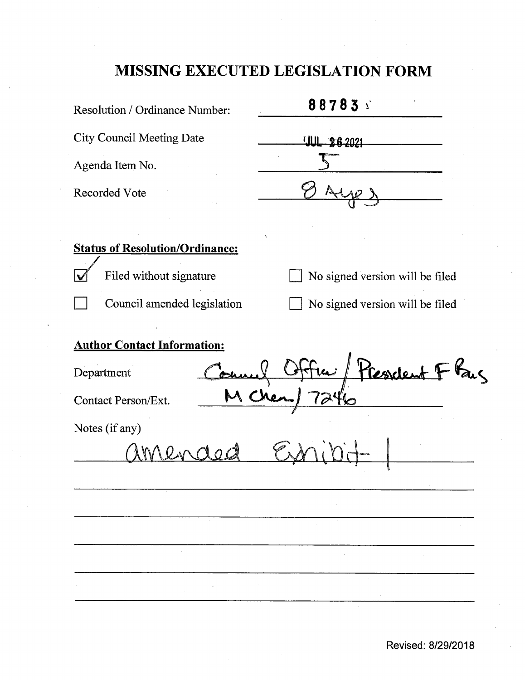# **MISSING EXECUTED LEGISLATION FORM**

| Resolution / Ordinance Number:                                                 | 88783                           |
|--------------------------------------------------------------------------------|---------------------------------|
| <b>City Council Meeting Date</b>                                               | UUL 26 2021                     |
| Agenda Item No.                                                                |                                 |
| <b>Recorded Vote</b>                                                           |                                 |
|                                                                                |                                 |
| <b>Status of Resolution/Ordinance:</b>                                         |                                 |
| Filed without signature                                                        | No signed version will be filed |
| Council amended legislation                                                    | No signed version will be filed |
| <b>Author Contact Information:</b><br>Department<br><b>Contact Person/Ext.</b> | President F Kay                 |
| Notes (if any)                                                                 |                                 |
|                                                                                |                                 |
|                                                                                |                                 |
|                                                                                |                                 |
|                                                                                |                                 |
|                                                                                |                                 |
|                                                                                |                                 |

**Revised: 8/29/2018**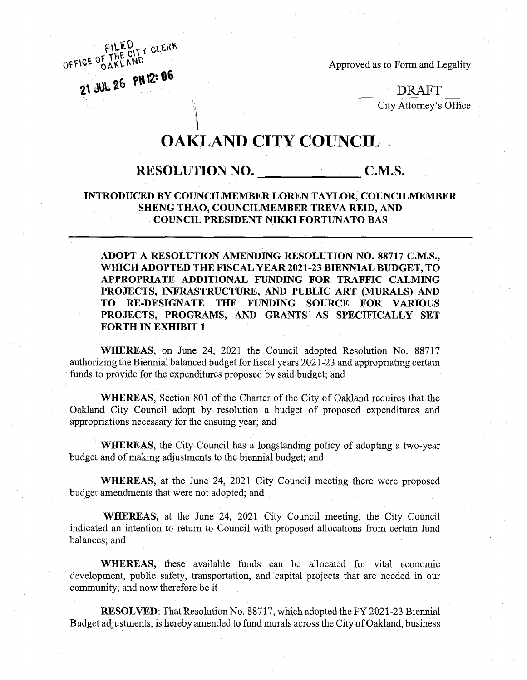OFFICE OF THE CITY CLERK

Approved as to Form and Legality

**DRAFT**

City Attorney's Office

## **OAKLAND CITY COUNCIL**

## **RESOLUTION NO.** C.M.S.

#### **INTRODUCED BY COUNCILMEMBER LOREN TAYLOR, COUNCILMEMBER SHENG THAO, COUNCILMEMBER TREVA REID, AND COUNCIL PRESIDENT NIKKI FORTUNATO BAS**

**ADOPT A RESOLUTION AMENDING RESOLUTION NO. 88717 C.M.S., WHICH ADOPTED THE FISCAL YEAR 2021-23 BIENNIAL BUDGET, TO APPROPRIATE ADDITIONAL FUNDING FOR TRAFFIC CALMING PROJECTS, INFRASTRUCTURE, AND PUBLIC ART (MURALS) AND TO RE-DESIGNATE THE FUNDING SOURCE FOR VARIOUS PROJECTS, PROGRAMS, AND GRANTS AS SPECIFICALLY SET FORTH IN EXHIBIT 1**

**WHEREAS,** on June 24, 2021 the Council adopted Resolution No. 88717 authorizing the Biennial balanced budget for fiscal years 2021-23 and appropriating certain funds to provide for the expenditures proposed by said budget; and

**WHEREAS,** Section 801 of the Charter of the City of Oakland requires that the Oakland City Council adopt by resolution a budget of proposed expenditures and appropriations necessary for the ensuing year; and

**WHEREAS,** the City Council has a longstanding policy of adopting a two-year budget and of making adjustments to the biennial budget; and

**WHEREAS,** at the June 24, 2021 City Council meeting there were proposed budget amendments that were not adopted; and

**WHEREAS,** at the June 24, 2021 City Council meeting, the City Council indicated an intention to return to Council with proposed allocations from certain fund balances; and

WHEREAS, these available funds can be allocated for vital economic development, public safety, transportation, and capital projects that are needed in our community; and now therefore be it

**RESOLVED:** That Resolution No. 88717, which adopted the FY 2021-23 Biennial Budget adjustments, is hereby amended to fund murals across the City of Oakland, business